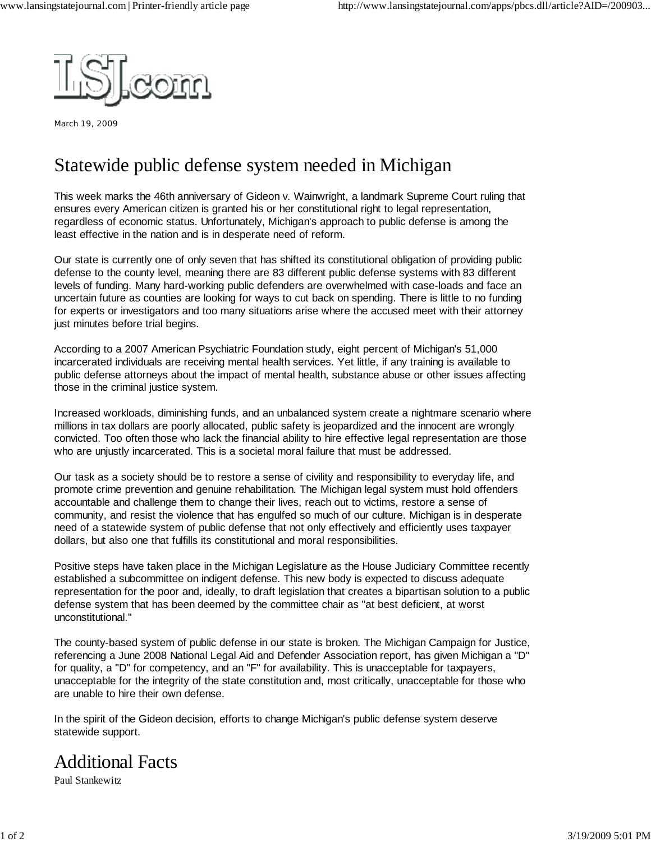

March 19, 2009

## Statewide public defense system needed in Michigan

This week marks the 46th anniversary of Gideon v. Wainwright, a landmark Supreme Court ruling that ensures every American citizen is granted his or her constitutional right to legal representation, regardless of economic status. Unfortunately, Michigan's approach to public defense is among the least effective in the nation and is in desperate need of reform.

Our state is currently one of only seven that has shifted its constitutional obligation of providing public defense to the county level, meaning there are 83 different public defense systems with 83 different levels of funding. Many hard-working public defenders are overwhelmed with case-loads and face an uncertain future as counties are looking for ways to cut back on spending. There is little to no funding for experts or investigators and too many situations arise where the accused meet with their attorney just minutes before trial begins.

According to a 2007 American Psychiatric Foundation study, eight percent of Michigan's 51,000 incarcerated individuals are receiving mental health services. Yet little, if any training is available to public defense attorneys about the impact of mental health, substance abuse or other issues affecting those in the criminal justice system.

Increased workloads, diminishing funds, and an unbalanced system create a nightmare scenario where millions in tax dollars are poorly allocated, public safety is jeopardized and the innocent are wrongly convicted. Too often those who lack the financial ability to hire effective legal representation are those who are unjustly incarcerated. This is a societal moral failure that must be addressed.

Our task as a society should be to restore a sense of civility and responsibility to everyday life, and promote crime prevention and genuine rehabilitation. The Michigan legal system must hold offenders accountable and challenge them to change their lives, reach out to victims, restore a sense of community, and resist the violence that has engulfed so much of our culture. Michigan is in desperate need of a statewide system of public defense that not only effectively and efficiently uses taxpayer dollars, but also one that fulfills its constitutional and moral responsibilities.

Positive steps have taken place in the Michigan Legislature as the House Judiciary Committee recently established a subcommittee on indigent defense. This new body is expected to discuss adequate representation for the poor and, ideally, to draft legislation that creates a bipartisan solution to a public defense system that has been deemed by the committee chair as "at best deficient, at worst unconstitutional."

The county-based system of public defense in our state is broken. The Michigan Campaign for Justice, referencing a June 2008 National Legal Aid and Defender Association report, has given Michigan a "D" for quality, a "D" for competency, and an "F" for availability. This is unacceptable for taxpayers, unacceptable for the integrity of the state constitution and, most critically, unacceptable for those who are unable to hire their own defense.

In the spirit of the Gideon decision, efforts to change Michigan's public defense system deserve statewide support.

## Additional Facts

Paul Stankewitz